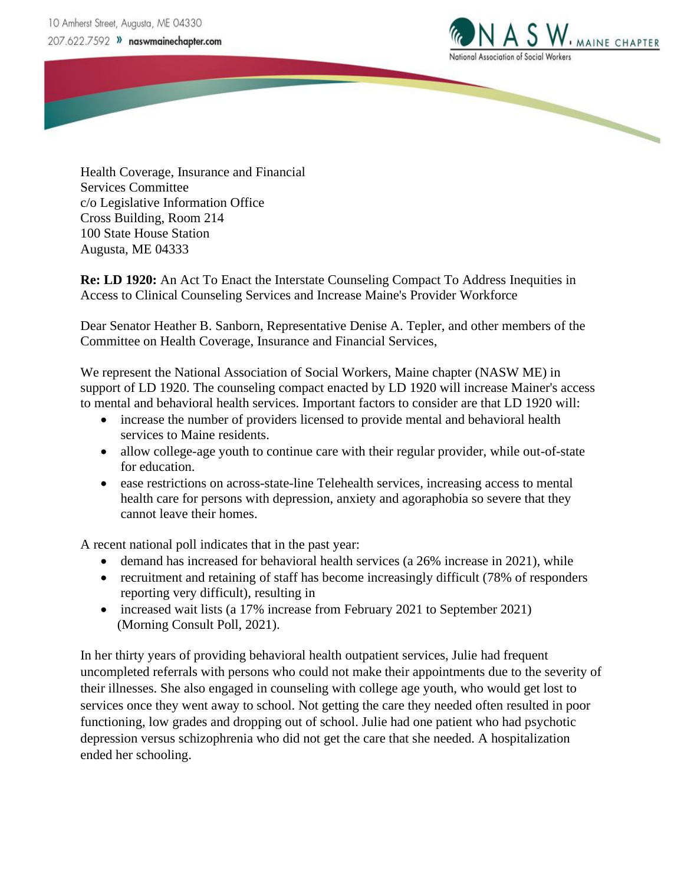

Health Coverage, Insurance and Financial Services Committee c/o Legislative Information Office Cross Building, Room 214 100 State House Station Augusta, ME 04333

**Re: LD 1920:** An Act To Enact the Interstate Counseling Compact To Address Inequities in Access to Clinical Counseling Services and Increase Maine's Provider Workforce

Dear Senator Heather B. Sanborn, Representative Denise A. Tepler, and other members of the Committee on Health Coverage, Insurance and Financial Services,

We represent the National Association of Social Workers, Maine chapter (NASW ME) in support of LD 1920. The counseling compact enacted by LD 1920 will increase Mainer's access to mental and behavioral health services. Important factors to consider are that LD 1920 will:

- increase the number of providers licensed to provide mental and behavioral health services to Maine residents.
- allow college-age youth to continue care with their regular provider, while out-of-state for education.
- ease restrictions on across-state-line Telehealth services, increasing access to mental health care for persons with depression, anxiety and agoraphobia so severe that they cannot leave their homes.

A recent national poll indicates that in the past year:

- demand has increased for behavioral health services (a 26% increase in 2021), while
- recruitment and retaining of staff has become increasingly difficult (78% of responders reporting very difficult), resulting in
- increased wait lists (a 17% increase from February 2021 to September 2021) (Morning Consult Poll, 2021).

In her thirty years of providing behavioral health outpatient services, Julie had frequent uncompleted referrals with persons who could not make their appointments due to the severity of their illnesses. She also engaged in counseling with college age youth, who would get lost to services once they went away to school. Not getting the care they needed often resulted in poor functioning, low grades and dropping out of school. Julie had one patient who had psychotic depression versus schizophrenia who did not get the care that she needed. A hospitalization ended her schooling.